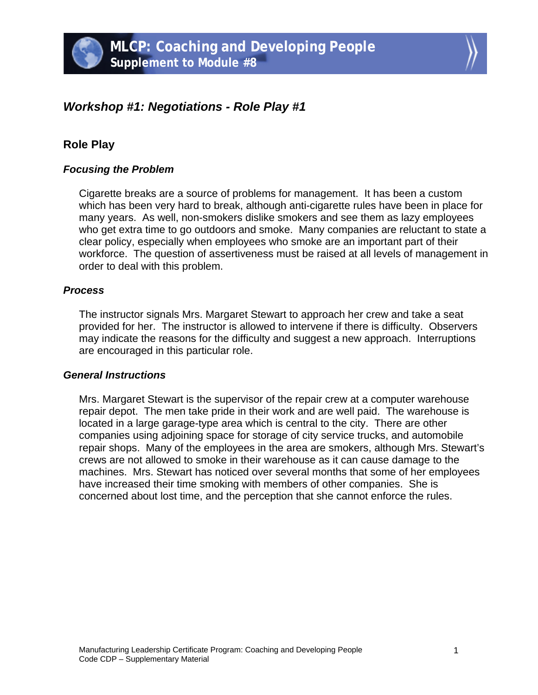

# *Workshop #1: Negotiations - Role Play #1*

## **Role Play**

### *Focusing the Problem*

Cigarette breaks are a source of problems for management. It has been a custom which has been very hard to break, although anti-cigarette rules have been in place for many years. As well, non-smokers dislike smokers and see them as lazy employees who get extra time to go outdoors and smoke. Many companies are reluctant to state a clear policy, especially when employees who smoke are an important part of their workforce. The question of assertiveness must be raised at all levels of management in order to deal with this problem.

#### *Process*

The instructor signals Mrs. Margaret Stewart to approach her crew and take a seat provided for her. The instructor is allowed to intervene if there is difficulty. Observers may indicate the reasons for the difficulty and suggest a new approach. Interruptions are encouraged in this particular role.

#### *General Instructions*

Mrs. Margaret Stewart is the supervisor of the repair crew at a computer warehouse repair depot. The men take pride in their work and are well paid. The warehouse is located in a large garage-type area which is central to the city. There are other companies using adjoining space for storage of city service trucks, and automobile repair shops. Many of the employees in the area are smokers, although Mrs. Stewart's crews are not allowed to smoke in their warehouse as it can cause damage to the machines. Mrs. Stewart has noticed over several months that some of her employees have increased their time smoking with members of other companies. She is concerned about lost time, and the perception that she cannot enforce the rules.